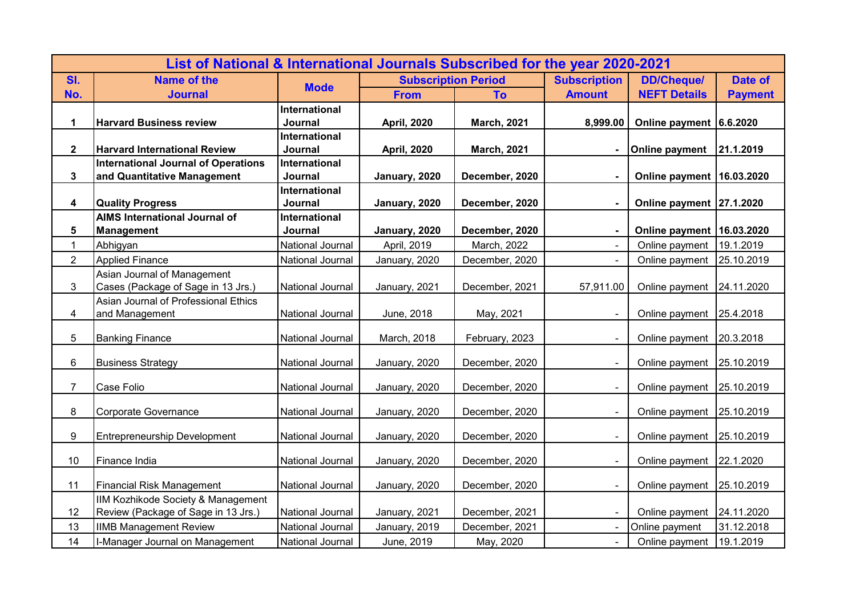| List of National & International Journals Subscribed for the year 2020-2021 |                                                                            |                      |                            |                    |                     |                             |                |
|-----------------------------------------------------------------------------|----------------------------------------------------------------------------|----------------------|----------------------------|--------------------|---------------------|-----------------------------|----------------|
| SI.                                                                         | <b>Name of the</b>                                                         |                      | <b>Subscription Period</b> |                    | <b>Subscription</b> | <b>DD/Cheque/</b>           | Date of        |
| No.                                                                         | <b>Journal</b>                                                             | <b>Mode</b>          | <b>From</b>                | <b>To</b>          | <b>Amount</b>       | <b>NEFT Details</b>         | <b>Payment</b> |
|                                                                             |                                                                            | <b>International</b> |                            |                    |                     |                             |                |
| $\mathbf 1$                                                                 | <b>Harvard Business review</b>                                             | Journal              | <b>April, 2020</b>         | <b>March, 2021</b> | 8,999.00            | Online payment 6.6.2020     |                |
|                                                                             |                                                                            | International        |                            |                    |                     |                             |                |
| $\mathbf{2}$                                                                | <b>Harvard International Review</b>                                        | Journal              | <b>April, 2020</b>         | <b>March, 2021</b> |                     | Online payment              | 21.1.2019      |
|                                                                             | <b>International Journal of Operations</b>                                 | International        |                            |                    |                     |                             |                |
| 3                                                                           | and Quantitative Management                                                | Journal              | January, 2020              | December, 2020     |                     | Online payment   16.03.2020 |                |
|                                                                             |                                                                            | International        |                            |                    |                     |                             |                |
| 4                                                                           | <b>Quality Progress</b>                                                    | Journal              | January, 2020              | December, 2020     |                     | Online payment 27.1.2020    |                |
|                                                                             | AIMS International Journal of                                              | <b>International</b> |                            |                    |                     |                             |                |
| 5                                                                           | <b>Management</b>                                                          | Journal              | January, 2020              | December, 2020     |                     | Online payment   16.03.2020 |                |
| $\mathbf{1}$                                                                | Abhigyan                                                                   | National Journal     | April, 2019                | March, 2022        |                     | Online payment              | 19.1.2019      |
| $\overline{2}$                                                              | <b>Applied Finance</b>                                                     | National Journal     | January, 2020              | December, 2020     |                     | Online payment              | 25.10.2019     |
|                                                                             | Asian Journal of Management                                                |                      |                            |                    |                     |                             |                |
| 3                                                                           | Cases (Package of Sage in 13 Jrs.)<br>Asian Journal of Professional Ethics | National Journal     | January, 2021              | December, 2021     | 57,911.00           | Online payment 24.11.2020   |                |
| 4                                                                           | and Management                                                             | National Journal     | June, 2018                 | May, 2021          | $\blacksquare$      | Online payment 25.4.2018    |                |
|                                                                             |                                                                            |                      |                            |                    |                     |                             |                |
| 5                                                                           | <b>Banking Finance</b>                                                     | National Journal     | March, 2018                | February, 2023     |                     | Online payment   20.3.2018  |                |
|                                                                             |                                                                            |                      |                            |                    |                     |                             |                |
| 6                                                                           | <b>Business Strategy</b>                                                   | National Journal     | January, 2020              | December, 2020     |                     | Online payment              | 25.10.2019     |
| $\overline{7}$                                                              | Case Folio                                                                 | National Journal     | January, 2020              | December, 2020     | $\blacksquare$      | Online payment 25.10.2019   |                |
|                                                                             |                                                                            |                      |                            |                    |                     |                             |                |
| 8                                                                           | Corporate Governance                                                       | National Journal     | January, 2020              | December, 2020     |                     | Online payment              | 25.10.2019     |
|                                                                             |                                                                            |                      |                            |                    |                     |                             |                |
| 9                                                                           | Entrepreneurship Development                                               | National Journal     | January, 2020              | December, 2020     |                     | Online payment 25.10.2019   |                |
| 10                                                                          | Finance India                                                              | National Journal     | January, 2020              | December, 2020     | $\sim$              | Online payment 22.1.2020    |                |
|                                                                             |                                                                            |                      |                            |                    |                     |                             |                |
| 11                                                                          | <b>Financial Risk Management</b>                                           | National Journal     | January, 2020              | December, 2020     |                     | Online payment              | 25.10.2019     |
|                                                                             | IIM Kozhikode Society & Management                                         |                      |                            |                    |                     |                             |                |
| 12                                                                          | Review (Package of Sage in 13 Jrs.)                                        | National Journal     | January, 2021              | December, 2021     |                     | Online payment              | 24.11.2020     |
| 13                                                                          | <b>IIMB Management Review</b>                                              | National Journal     | January, 2019              | December, 2021     | $\blacksquare$      | Online payment              | 31.12.2018     |
| 14                                                                          | I-Manager Journal on Management                                            | National Journal     | June, 2019                 | May, 2020          |                     | Online payment              | 19.1.2019      |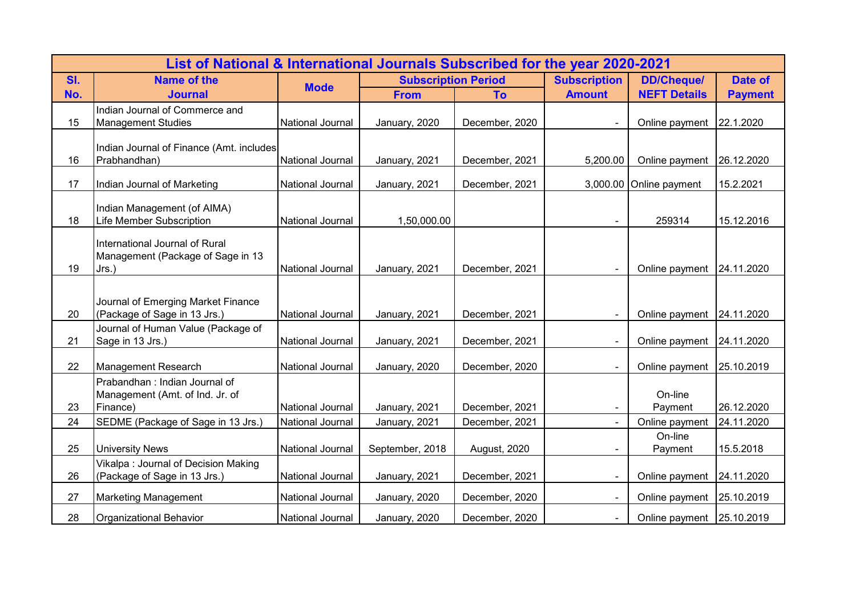| List of National & International Journals Subscribed for the year 2020-2021 |                                                                                                                              |                                      |                                |                                  |                     |                                                        |                |
|-----------------------------------------------------------------------------|------------------------------------------------------------------------------------------------------------------------------|--------------------------------------|--------------------------------|----------------------------------|---------------------|--------------------------------------------------------|----------------|
| SI.                                                                         | <b>Name of the</b>                                                                                                           |                                      | <b>Subscription Period</b>     |                                  | <b>Subscription</b> | <b>DD/Cheque/</b>                                      | Date of        |
| No.                                                                         | <b>Journal</b>                                                                                                               | <b>Mode</b>                          | <b>From</b>                    | <b>To</b>                        | <b>Amount</b>       | <b>NEFT Details</b>                                    | <b>Payment</b> |
| 15                                                                          | Indian Journal of Commerce and<br><b>Management Studies</b>                                                                  | National Journal                     | January, 2020                  | December, 2020                   |                     | Online payment                                         | 22.1.2020      |
| 16                                                                          | Indian Journal of Finance (Amt. includes<br>Prabhandhan)                                                                     | National Journal                     | January, 2021                  | December, 2021                   | 5,200.00            | Online payment                                         | 26.12.2020     |
| 17                                                                          | Indian Journal of Marketing                                                                                                  | National Journal                     | January, 2021                  | December, 2021                   |                     | 3,000.00 Online payment                                | 15.2.2021      |
| 18                                                                          | Indian Management (of AIMA)<br>Life Member Subscription                                                                      | National Journal                     | 1,50,000.00                    |                                  |                     | 259314                                                 | 15.12.2016     |
| 19                                                                          | International Journal of Rural<br>Management (Package of Sage in 13<br>$Jrs.$ )                                              | National Journal                     | January, 2021                  | December, 2021                   |                     | Online payment                                         | 24.11.2020     |
| 20<br>21                                                                    | Journal of Emerging Market Finance<br>(Package of Sage in 13 Jrs.)<br>Journal of Human Value (Package of<br>Sage in 13 Jrs.) | National Journal<br>National Journal | January, 2021<br>January, 2021 | December, 2021<br>December, 2021 |                     | Online payment 24.11.2020<br>Online payment 24.11.2020 |                |
| 22                                                                          | Management Research                                                                                                          | National Journal                     | January, 2020                  | December, 2020                   |                     | Online payment                                         | 25.10.2019     |
| 23                                                                          | Prabandhan: Indian Journal of<br>Management (Amt. of Ind. Jr. of<br>Finance)                                                 | National Journal                     | January, 2021                  | December, 2021                   |                     | On-line<br>Payment                                     | 26.12.2020     |
| 24                                                                          | SEDME (Package of Sage in 13 Jrs.)                                                                                           | National Journal                     | January, 2021                  | December, 2021                   | $\sim$              | Online payment                                         | 24.11.2020     |
| 25                                                                          | <b>University News</b>                                                                                                       | National Journal                     | September, 2018                | August, 2020                     |                     | On-line<br>Payment                                     | 15.5.2018      |
| 26                                                                          | Vikalpa : Journal of Decision Making<br>(Package of Sage in 13 Jrs.)                                                         | National Journal                     | January, 2021                  | December, 2021                   |                     | Online payment                                         | 24.11.2020     |
| 27                                                                          | <b>Marketing Management</b>                                                                                                  | National Journal                     | January, 2020                  | December, 2020                   | $\blacksquare$      | Online payment 25.10.2019                              |                |
| 28                                                                          | Organizational Behavior                                                                                                      | National Journal                     | January, 2020                  | December, 2020                   | $\omega$            | Online payment 25.10.2019                              |                |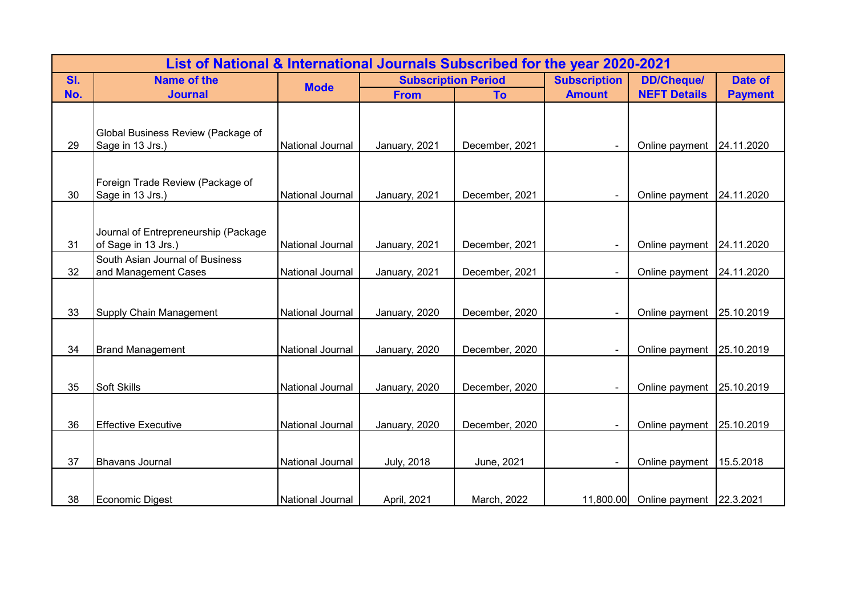| List of National & International Journals Subscribed for the year 2020-2021 |                                                             |                  |                            |                |                     |                                    |                |
|-----------------------------------------------------------------------------|-------------------------------------------------------------|------------------|----------------------------|----------------|---------------------|------------------------------------|----------------|
| SI.                                                                         | <b>Name of the</b>                                          | <b>Mode</b>      | <b>Subscription Period</b> |                | <b>Subscription</b> | <b>DD/Cheque/</b>                  | <b>Date of</b> |
| No.                                                                         | <b>Journal</b>                                              |                  | <b>From</b>                | <b>To</b>      | <b>Amount</b>       | <b>NEFT Details</b>                | <b>Payment</b> |
|                                                                             |                                                             |                  |                            |                |                     |                                    |                |
|                                                                             | Global Business Review (Package of                          |                  |                            |                |                     |                                    |                |
| 29                                                                          | Sage in 13 Jrs.)                                            | National Journal | January, 2021              | December, 2021 | $\blacksquare$      | Online payment 24.11.2020          |                |
|                                                                             |                                                             |                  |                            |                |                     |                                    |                |
|                                                                             |                                                             |                  |                            |                |                     |                                    |                |
| 30                                                                          | Foreign Trade Review (Package of<br>Sage in 13 Jrs.)        | National Journal | January, 2021              | December, 2021 |                     | Online payment 24.11.2020          |                |
|                                                                             |                                                             |                  |                            |                |                     |                                    |                |
|                                                                             |                                                             |                  |                            |                |                     |                                    |                |
| 31                                                                          | Journal of Entrepreneurship (Package<br>of Sage in 13 Jrs.) | National Journal | January, 2021              | December, 2021 |                     | Online payment 24.11.2020          |                |
|                                                                             | South Asian Journal of Business                             |                  |                            |                |                     |                                    |                |
| 32                                                                          | and Management Cases                                        | National Journal | January, 2021              | December, 2021 | $\blacksquare$      | Online payment 24.11.2020          |                |
|                                                                             |                                                             |                  |                            |                |                     |                                    |                |
|                                                                             |                                                             |                  |                            |                |                     |                                    |                |
| 33                                                                          | Supply Chain Management                                     | National Journal | January, 2020              | December, 2020 |                     | Online payment 25.10.2019          |                |
|                                                                             |                                                             |                  |                            |                |                     |                                    |                |
| 34                                                                          | <b>Brand Management</b>                                     | National Journal | January, 2020              | December, 2020 |                     | Online payment 25.10.2019          |                |
|                                                                             |                                                             |                  |                            |                |                     |                                    |                |
| 35                                                                          | <b>Soft Skills</b>                                          | National Journal | January, 2020              | December, 2020 | $\blacksquare$      | Online payment 25.10.2019          |                |
|                                                                             |                                                             |                  |                            |                |                     |                                    |                |
| 36                                                                          | <b>Effective Executive</b>                                  | National Journal |                            | December, 2020 | $\sim$              |                                    |                |
|                                                                             |                                                             |                  | January, 2020              |                |                     | Online payment 25.10.2019          |                |
|                                                                             |                                                             |                  |                            |                |                     |                                    |                |
| 37                                                                          | <b>Bhavans Journal</b>                                      | National Journal | <b>July, 2018</b>          | June, 2021     |                     | Online payment   15.5.2018         |                |
|                                                                             |                                                             |                  |                            |                |                     |                                    |                |
| 38                                                                          | Economic Digest                                             | National Journal | April, 2021                | March, 2022    |                     | 11,800.00 Online payment 22.3.2021 |                |